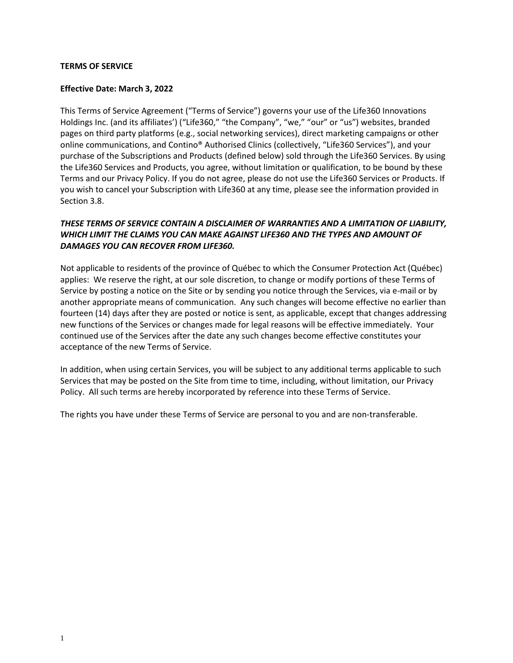#### **TERMS OF SERVICE**

#### **Effective Date: March 3, 2022**

This Terms of Service Agreement ("Terms of Service") governs your use of the Life360 Innovations Holdings Inc. (and its affiliates') ("Life360," "the Company", "we," "our" or "us") websites, branded pages on third party platforms (e.g., social networking services), direct marketing campaigns or other online communications, and Contino® Authorised Clinics (collectively, "Life360 Services"), and your purchase of the Subscriptions and Products (defined below) sold through the Life360 Services. By using the Life360 Services and Products, you agree, without limitation or qualification, to be bound by these Terms and our Privacy Policy. If you do not agree, please do not use the Life360 Services or Products. If you wish to cancel your Subscription with Life360 at any time, please see the information provided in Section 3.8.

### *THESE TERMS OF SERVICE CONTAIN A DISCLAIMER OF WARRANTIES AND A LIMITATION OF LIABILITY, WHICH LIMIT THE CLAIMS YOU CAN MAKE AGAINST LIFE360 AND THE TYPES AND AMOUNT OF DAMAGES YOU CAN RECOVER FROM LIFE360.*

Not applicable to residents of the province of Québec to which the Consumer Protection Act (Québec) applies: We reserve the right, at our sole discretion, to change or modify portions of these Terms of Service by posting a notice on the Site or by sending you notice through the Services, via e-mail or by another appropriate means of communication. Any such changes will become effective no earlier than fourteen (14) days after they are posted or notice is sent, as applicable, except that changes addressing new functions of the Services or changes made for legal reasons will be effective immediately. Your continued use of the Services after the date any such changes become effective constitutes your acceptance of the new Terms of Service.

In addition, when using certain Services, you will be subject to any additional terms applicable to such Services that may be posted on the Site from time to time, including, without limitation, our Privacy Policy. All such terms are hereby incorporated by reference into these Terms of Service.

The rights you have under these Terms of Service are personal to you and are non-transferable.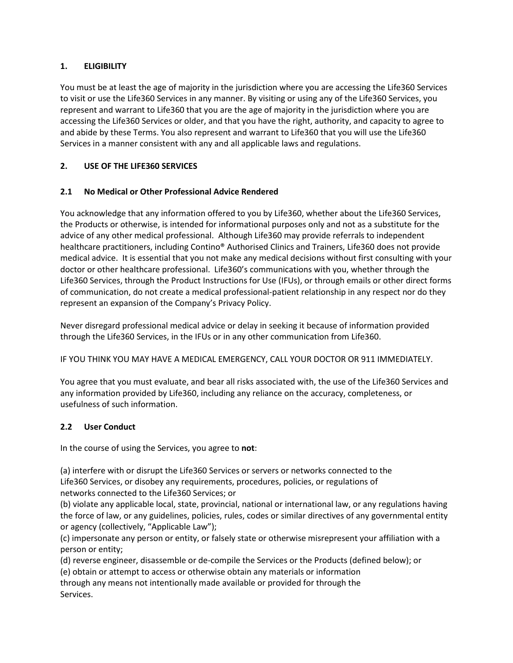### **1. ELIGIBILITY**

You must be at least the age of majority in the jurisdiction where you are accessing the Life360 Services to visit or use the Life360 Services in any manner. By visiting or using any of the Life360 Services, you represent and warrant to Life360 that you are the age of majority in the jurisdiction where you are accessing the Life360 Services or older, and that you have the right, authority, and capacity to agree to and abide by these Terms. You also represent and warrant to Life360 that you will use the Life360 Services in a manner consistent with any and all applicable laws and regulations.

# **2. USE OF THE LIFE360 SERVICES**

### **2.1 No Medical or Other Professional Advice Rendered**

You acknowledge that any information offered to you by Life360, whether about the Life360 Services, the Products or otherwise, is intended for informational purposes only and not as a substitute for the advice of any other medical professional. Although Life360 may provide referrals to independent healthcare practitioners, including Contino® Authorised Clinics and Trainers, Life360 does not provide medical advice. It is essential that you not make any medical decisions without first consulting with your doctor or other healthcare professional. Life360's communications with you, whether through the Life360 Services, through the Product Instructions for Use (IFUs), or through emails or other direct forms of communication, do not create a medical professional-patient relationship in any respect nor do they represent an expansion of the Company's Privacy Policy.

Never disregard professional medical advice or delay in seeking it because of information provided through the Life360 Services, in the IFUs or in any other communication from Life360.

#### IF YOU THINK YOU MAY HAVE A MEDICAL EMERGENCY, CALL YOUR DOCTOR OR 911 IMMEDIATELY.

You agree that you must evaluate, and bear all risks associated with, the use of the Life360 Services and any information provided by Life360, including any reliance on the accuracy, completeness, or usefulness of such information.

#### **2.2 User Conduct**

In the course of using the Services, you agree to **not**:

(a) interfere with or disrupt the Life360 Services or servers or networks connected to the Life360 Services, or disobey any requirements, procedures, policies, or regulations of networks connected to the Life360 Services; or

(b) violate any applicable local, state, provincial, national or international law, or any regulations having the force of law, or any guidelines, policies, rules, codes or similar directives of any governmental entity or agency (collectively, "Applicable Law");

(c) impersonate any person or entity, or falsely state or otherwise misrepresent your affiliation with a person or entity;

(d) reverse engineer, disassemble or de-compile the Services or the Products (defined below); or

(e) obtain or attempt to access or otherwise obtain any materials or information

through any means not intentionally made available or provided for through the Services.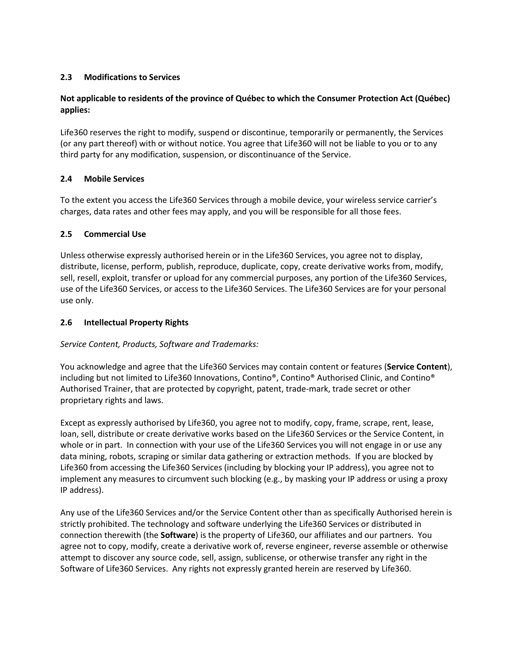# **2.3 Modifications to Services**

# **Not applicable to residents of the province of Québec to which the Consumer Protection Act (Québec) applies:**

Life360 reserves the right to modify, suspend or discontinue, temporarily or permanently, the Services (or any part thereof) with or without notice. You agree that Life360 will not be liable to you or to any third party for any modification, suspension, or discontinuance of the Service.

### **2.4 Mobile Services**

To the extent you access the Life360 Services through a mobile device, your wireless service carrier's charges, data rates and other fees may apply, and you will be responsible for all those fees.

### **2.5 Commercial Use**

Unless otherwise expressly authorised herein or in the Life360 Services, you agree not to display, distribute, license, perform, publish, reproduce, duplicate, copy, create derivative works from, modify, sell, resell, exploit, transfer or upload for any commercial purposes, any portion of the Life360 Services, use of the Life360 Services, or access to the Life360 Services. The Life360 Services are for your personal use only.

### **2.6 Intellectual Property Rights**

#### *Service Content, Products, Software and Trademarks:*

You acknowledge and agree that the Life360 Services may contain content or features (**Service Content**), including but not limited to Life360 Innovations, Contino®, Contino® Authorised Clinic, and Contino® Authorised Trainer, that are protected by copyright, patent, trade-mark, trade secret or other proprietary rights and laws.

Except as expressly authorised by Life360, you agree not to modify, copy, frame, scrape, rent, lease, loan, sell, distribute or create derivative works based on the Life360 Services or the Service Content, in whole or in part. In connection with your use of the Life360 Services you will not engage in or use any data mining, robots, scraping or similar data gathering or extraction methods. If you are blocked by Life360 from accessing the Life360 Services (including by blocking your IP address), you agree not to implement any measures to circumvent such blocking (e.g., by masking your IP address or using a proxy IP address).

Any use of the Life360 Services and/or the Service Content other than as specifically Authorised herein is strictly prohibited. The technology and software underlying the Life360 Services or distributed in connection therewith (the **Software**) is the property of Life360, our affiliates and our partners. You agree not to copy, modify, create a derivative work of, reverse engineer, reverse assemble or otherwise attempt to discover any source code, sell, assign, sublicense, or otherwise transfer any right in the Software of Life360 Services. Any rights not expressly granted herein are reserved by Life360.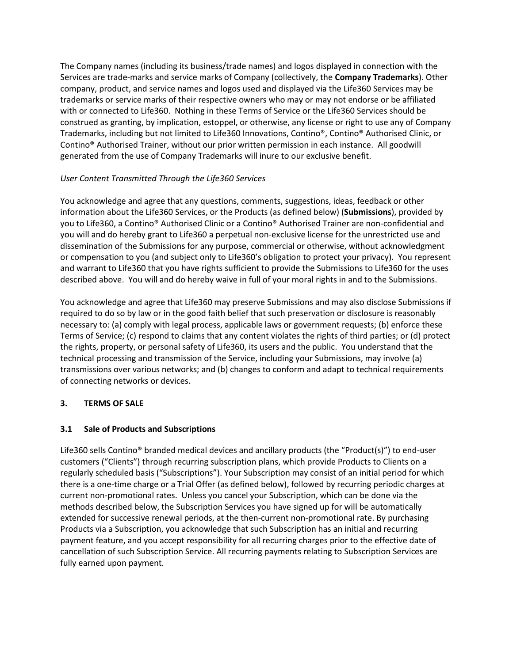The Company names (including its business/trade names) and logos displayed in connection with the Services are trade-marks and service marks of Company (collectively, the **Company Trademarks**). Other company, product, and service names and logos used and displayed via the Life360 Services may be trademarks or service marks of their respective owners who may or may not endorse or be affiliated with or connected to Life360. Nothing in these Terms of Service or the Life360 Services should be construed as granting, by implication, estoppel, or otherwise, any license or right to use any of Company Trademarks, including but not limited to Life360 Innovations, Contino®, Contino® Authorised Clinic, or Contino® Authorised Trainer, without our prior written permission in each instance. All goodwill generated from the use of Company Trademarks will inure to our exclusive benefit.

# *User Content Transmitted Through the Life360 Services*

You acknowledge and agree that any questions, comments, suggestions, ideas, feedback or other information about the Life360 Services, or the Products (as defined below) (**Submissions**), provided by you to Life360, a Contino® Authorised Clinic or a Contino® Authorised Trainer are non-confidential and you will and do hereby grant to Life360 a perpetual non-exclusive license for the unrestricted use and dissemination of the Submissions for any purpose, commercial or otherwise, without acknowledgment or compensation to you (and subject only to Life360's obligation to protect your privacy). You represent and warrant to Life360 that you have rights sufficient to provide the Submissions to Life360 for the uses described above. You will and do hereby waive in full of your moral rights in and to the Submissions.

You acknowledge and agree that Life360 may preserve Submissions and may also disclose Submissions if required to do so by law or in the good faith belief that such preservation or disclosure is reasonably necessary to: (a) comply with legal process, applicable laws or government requests; (b) enforce these Terms of Service; (c) respond to claims that any content violates the rights of third parties; or (d) protect the rights, property, or personal safety of Life360, its users and the public. You understand that the technical processing and transmission of the Service, including your Submissions, may involve (a) transmissions over various networks; and (b) changes to conform and adapt to technical requirements of connecting networks or devices.

# **3. TERMS OF SALE**

# **3.1 Sale of Products and Subscriptions**

Life360 sells Contino® branded medical devices and ancillary products (the "Product(s)") to end-user customers ("Clients") through recurring subscription plans, which provide Products to Clients on a regularly scheduled basis ("Subscriptions"). Your Subscription may consist of an initial period for which there is a one-time charge or a Trial Offer (as defined below), followed by recurring periodic charges at current non-promotional rates. Unless you cancel your Subscription, which can be done via the methods described below, the Subscription Services you have signed up for will be automatically extended for successive renewal periods, at the then-current non-promotional rate. By purchasing Products via a Subscription, you acknowledge that such Subscription has an initial and recurring payment feature, and you accept responsibility for all recurring charges prior to the effective date of cancellation of such Subscription Service. All recurring payments relating to Subscription Services are fully earned upon payment.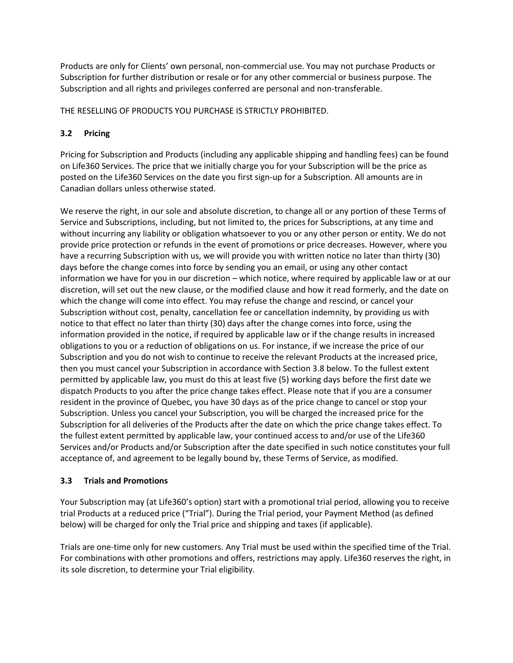Products are only for Clients' own personal, non-commercial use. You may not purchase Products or Subscription for further distribution or resale or for any other commercial or business purpose. The Subscription and all rights and privileges conferred are personal and non-transferable.

THE RESELLING OF PRODUCTS YOU PURCHASE IS STRICTLY PROHIBITED.

# **3.2 Pricing**

Pricing for Subscription and Products (including any applicable shipping and handling fees) can be found on Life360 Services. The price that we initially charge you for your Subscription will be the price as posted on the Life360 Services on the date you first sign-up for a Subscription. All amounts are in Canadian dollars unless otherwise stated.

We reserve the right, in our sole and absolute discretion, to change all or any portion of these Terms of Service and Subscriptions, including, but not limited to, the prices for Subscriptions, at any time and without incurring any liability or obligation whatsoever to you or any other person or entity. We do not provide price protection or refunds in the event of promotions or price decreases. However, where you have a recurring Subscription with us, we will provide you with written notice no later than thirty (30) days before the change comes into force by sending you an email, or using any other contact information we have for you in our discretion – which notice, where required by applicable law or at our discretion, will set out the new clause, or the modified clause and how it read formerly, and the date on which the change will come into effect. You may refuse the change and rescind, or cancel your Subscription without cost, penalty, cancellation fee or cancellation indemnity, by providing us with notice to that effect no later than thirty (30) days after the change comes into force, using the information provided in the notice, if required by applicable law or if the change results in increased obligations to you or a reduction of obligations on us. For instance, if we increase the price of our Subscription and you do not wish to continue to receive the relevant Products at the increased price, then you must cancel your Subscription in accordance with Section 3.8 below. To the fullest extent permitted by applicable law, you must do this at least five (5) working days before the first date we dispatch Products to you after the price change takes effect. Please note that if you are a consumer resident in the province of Quebec, you have 30 days as of the price change to cancel or stop your Subscription. Unless you cancel your Subscription, you will be charged the increased price for the Subscription for all deliveries of the Products after the date on which the price change takes effect. To the fullest extent permitted by applicable law, your continued access to and/or use of the Life360 Services and/or Products and/or Subscription after the date specified in such notice constitutes your full acceptance of, and agreement to be legally bound by, these Terms of Service, as modified.

# **3.3 Trials and Promotions**

Your Subscription may (at Life360's option) start with a promotional trial period, allowing you to receive trial Products at a reduced price ("Trial"). During the Trial period, your Payment Method (as defined below) will be charged for only the Trial price and shipping and taxes (if applicable).

Trials are one-time only for new customers. Any Trial must be used within the specified time of the Trial. For combinations with other promotions and offers, restrictions may apply. Life360 reserves the right, in its sole discretion, to determine your Trial eligibility.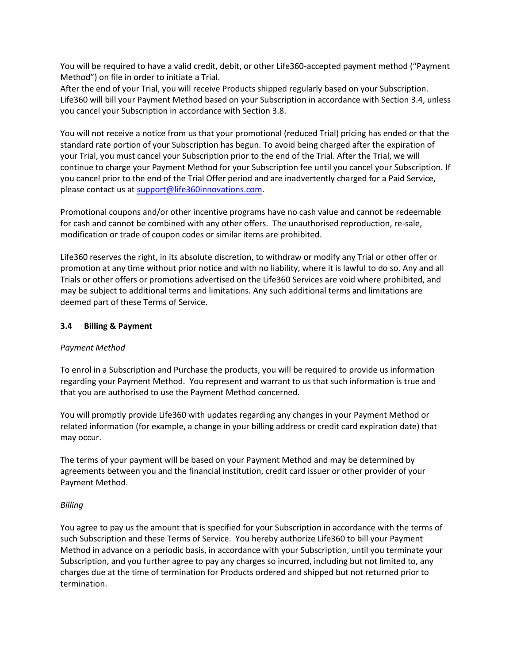You will be required to have a valid credit, debit, or other Life360-accepted payment method ("Payment Method") on file in order to initiate a Trial.

After the end of your Trial, you will receive Products shipped regularly based on your Subscription. Life360 will bill your Payment Method based on your Subscription in accordance with Section 3.4, unless you cancel your Subscription in accordance with Section 3.8.

You will not receive a notice from us that your promotional (reduced Trial) pricing has ended or that the standard rate portion of your Subscription has begun. To avoid being charged after the expiration of your Trial, you must cancel your Subscription prior to the end of the Trial. After the Trial, we will continue to charge your Payment Method for your Subscription fee until you cancel your Subscription. If you cancel prior to the end of the Trial Offer period and are inadvertently charged for a Paid Service, please contact us at [support@life360innovations.com.](mailto:support@life360innovations.com)

Promotional coupons and/or other incentive programs have no cash value and cannot be redeemable for cash and cannot be combined with any other offers. The unauthorised reproduction, re-sale, modification or trade of coupon codes or similar items are prohibited.

Life360 reserves the right, in its absolute discretion, to withdraw or modify any Trial or other offer or promotion at any time without prior notice and with no liability, where it is lawful to do so. Any and all Trials or other offers or promotions advertised on the Life360 Services are void where prohibited, and may be subject to additional terms and limitations. Any such additional terms and limitations are deemed part of these Terms of Service.

### **3.4 Billing & Payment**

#### *Payment Method*

To enrol in a Subscription and Purchase the products, you will be required to provide us information regarding your Payment Method. You represent and warrant to us that such information is true and that you are authorised to use the Payment Method concerned.

You will promptly provide Life360 with updates regarding any changes in your Payment Method or related information (for example, a change in your billing address or credit card expiration date) that may occur.

The terms of your payment will be based on your Payment Method and may be determined by agreements between you and the financial institution, credit card issuer or other provider of your Payment Method.

#### *Billing*

You agree to pay us the amount that is specified for your Subscription in accordance with the terms of such Subscription and these Terms of Service. You hereby authorize Life360 to bill your Payment Method in advance on a periodic basis, in accordance with your Subscription, until you terminate your Subscription, and you further agree to pay any charges so incurred, including but not limited to, any charges due at the time of termination for Products ordered and shipped but not returned prior to termination.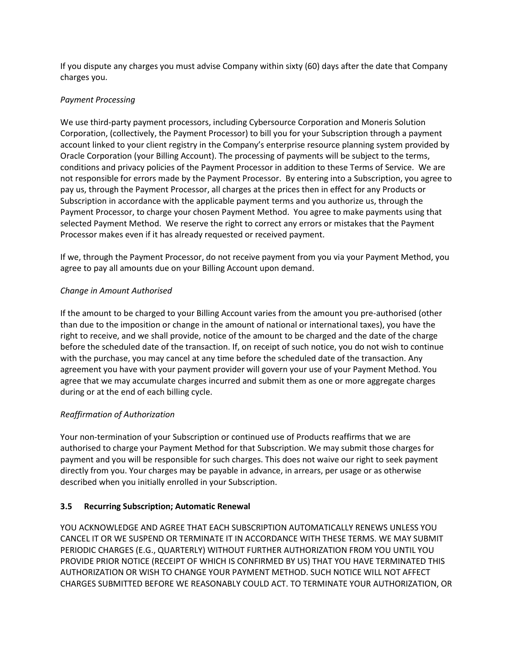If you dispute any charges you must advise Company within sixty (60) days after the date that Company charges you.

### *Payment Processing*

We use third-party payment processors, including Cybersource Corporation and Moneris Solution Corporation, (collectively, the Payment Processor) to bill you for your Subscription through a payment account linked to your client registry in the Company's enterprise resource planning system provided by Oracle Corporation (your Billing Account). The processing of payments will be subject to the terms, conditions and privacy policies of the Payment Processor in addition to these Terms of Service. We are not responsible for errors made by the Payment Processor. By entering into a Subscription, you agree to pay us, through the Payment Processor, all charges at the prices then in effect for any Products or Subscription in accordance with the applicable payment terms and you authorize us, through the Payment Processor, to charge your chosen Payment Method. You agree to make payments using that selected Payment Method. We reserve the right to correct any errors or mistakes that the Payment Processor makes even if it has already requested or received payment.

If we, through the Payment Processor, do not receive payment from you via your Payment Method, you agree to pay all amounts due on your Billing Account upon demand.

# *Change in Amount Authorised*

If the amount to be charged to your Billing Account varies from the amount you pre-authorised (other than due to the imposition or change in the amount of national or international taxes), you have the right to receive, and we shall provide, notice of the amount to be charged and the date of the charge before the scheduled date of the transaction. If, on receipt of such notice, you do not wish to continue with the purchase, you may cancel at any time before the scheduled date of the transaction. Any agreement you have with your payment provider will govern your use of your Payment Method. You agree that we may accumulate charges incurred and submit them as one or more aggregate charges during or at the end of each billing cycle.

# *Reaffirmation of Authorization*

Your non-termination of your Subscription or continued use of Products reaffirms that we are authorised to charge your Payment Method for that Subscription. We may submit those charges for payment and you will be responsible for such charges. This does not waive our right to seek payment directly from you. Your charges may be payable in advance, in arrears, per usage or as otherwise described when you initially enrolled in your Subscription.

# **3.5 Recurring Subscription; Automatic Renewal**

YOU ACKNOWLEDGE AND AGREE THAT EACH SUBSCRIPTION AUTOMATICALLY RENEWS UNLESS YOU CANCEL IT OR WE SUSPEND OR TERMINATE IT IN ACCORDANCE WITH THESE TERMS. WE MAY SUBMIT PERIODIC CHARGES (E.G., QUARTERLY) WITHOUT FURTHER AUTHORIZATION FROM YOU UNTIL YOU PROVIDE PRIOR NOTICE (RECEIPT OF WHICH IS CONFIRMED BY US) THAT YOU HAVE TERMINATED THIS AUTHORIZATION OR WISH TO CHANGE YOUR PAYMENT METHOD. SUCH NOTICE WILL NOT AFFECT CHARGES SUBMITTED BEFORE WE REASONABLY COULD ACT. TO TERMINATE YOUR AUTHORIZATION, OR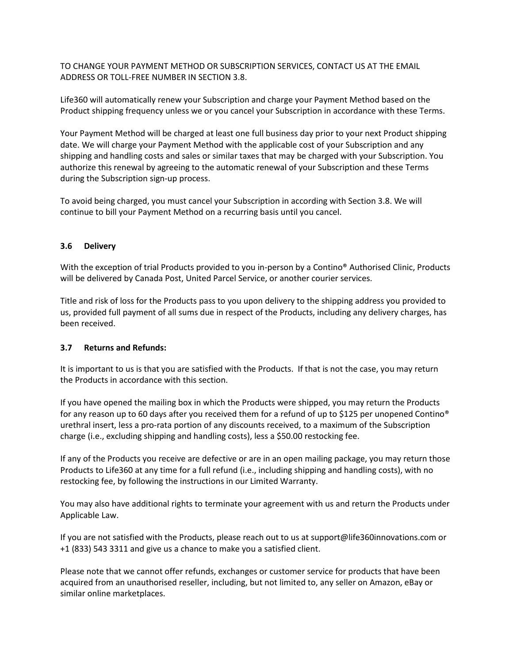TO CHANGE YOUR PAYMENT METHOD OR SUBSCRIPTION SERVICES, CONTACT US AT THE EMAIL ADDRESS OR TOLL-FREE NUMBER IN SECTION 3.8.

Life360 will automatically renew your Subscription and charge your Payment Method based on the Product shipping frequency unless we or you cancel your Subscription in accordance with these Terms.

Your Payment Method will be charged at least one full business day prior to your next Product shipping date. We will charge your Payment Method with the applicable cost of your Subscription and any shipping and handling costs and sales or similar taxes that may be charged with your Subscription. You authorize this renewal by agreeing to the automatic renewal of your Subscription and these Terms during the Subscription sign-up process.

To avoid being charged, you must cancel your Subscription in according with Section 3.8. We will continue to bill your Payment Method on a recurring basis until you cancel.

#### **3.6 Delivery**

With the exception of trial Products provided to you in-person by a Contino® Authorised Clinic, Products will be delivered by Canada Post, United Parcel Service, or another courier services.

Title and risk of loss for the Products pass to you upon delivery to the shipping address you provided to us, provided full payment of all sums due in respect of the Products, including any delivery charges, has been received.

#### **3.7 Returns and Refunds:**

It is important to us is that you are satisfied with the Products. If that is not the case, you may return the Products in accordance with this section.

If you have opened the mailing box in which the Products were shipped, you may return the Products for any reason up to 60 days after you received them for a refund of up to \$125 per unopened Contino® urethral insert, less a pro-rata portion of any discounts received, to a maximum of the Subscription charge (i.e., excluding shipping and handling costs), less a \$50.00 restocking fee.

If any of the Products you receive are defective or are in an open mailing package, you may return those Products to Life360 at any time for a full refund (i.e., including shipping and handling costs), with no restocking fee, by following the instructions in our Limited Warranty.

You may also have additional rights to terminate your agreement with us and return the Products under Applicable Law.

If you are not satisfied with the Products, please reach out to us at support@life360innovations.com or +1 (833) 543 3311 and give us a chance to make you a satisfied client.

Please note that we cannot offer refunds, exchanges or customer service for products that have been acquired from an unauthorised reseller, including, but not limited to, any seller on Amazon, eBay or similar online marketplaces.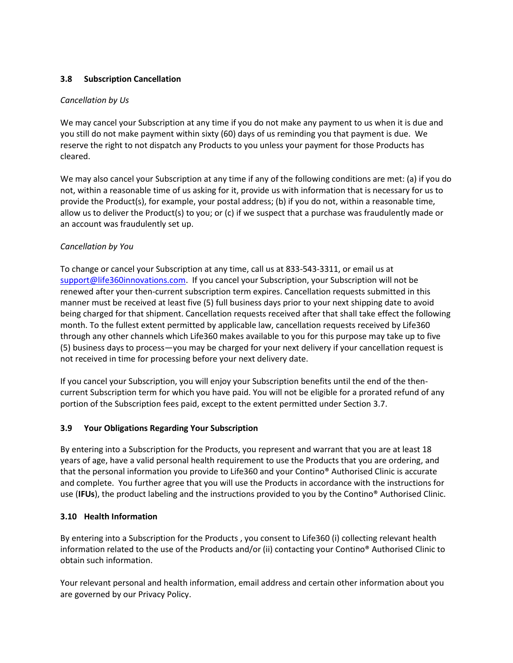### **3.8 Subscription Cancellation**

#### *Cancellation by Us*

We may cancel your Subscription at any time if you do not make any payment to us when it is due and you still do not make payment within sixty (60) days of us reminding you that payment is due. We reserve the right to not dispatch any Products to you unless your payment for those Products has cleared.

We may also cancel your Subscription at any time if any of the following conditions are met: (a) if you do not, within a reasonable time of us asking for it, provide us with information that is necessary for us to provide the Product(s), for example, your postal address; (b) if you do not, within a reasonable time, allow us to deliver the Product(s) to you; or (c) if we suspect that a purchase was fraudulently made or an account was fraudulently set up.

#### *Cancellation by You*

To change or cancel your Subscription at any time, call us at 833-543-3311, or email us at [support@life360innovations.com.](mailto:support@life360innovations.com) If you cancel your Subscription, your Subscription will not be renewed after your then-current subscription term expires. Cancellation requests submitted in this manner must be received at least five (5) full business days prior to your next shipping date to avoid being charged for that shipment. Cancellation requests received after that shall take effect the following month. To the fullest extent permitted by applicable law, cancellation requests received by Life360 through any other channels which Life360 makes available to you for this purpose may take up to five (5) business days to process—you may be charged for your next delivery if your cancellation request is not received in time for processing before your next delivery date.

If you cancel your Subscription, you will enjoy your Subscription benefits until the end of the thencurrent Subscription term for which you have paid. You will not be eligible for a prorated refund of any portion of the Subscription fees paid, except to the extent permitted under Section 3.7.

#### **3.9 Your Obligations Regarding Your Subscription**

By entering into a Subscription for the Products, you represent and warrant that you are at least 18 years of age, have a valid personal health requirement to use the Products that you are ordering, and that the personal information you provide to Life360 and your Contino® Authorised Clinic is accurate and complete. You further agree that you will use the Products in accordance with the instructions for use (**IFUs**), the product labeling and the instructions provided to you by the Contino® Authorised Clinic.

#### **3.10 Health Information**

By entering into a Subscription for the Products , you consent to Life360 (i) collecting relevant health information related to the use of the Products and/or (ii) contacting your Contino® Authorised Clinic to obtain such information.

Your relevant personal and health information, email address and certain other information about you are governed by our Privacy Policy.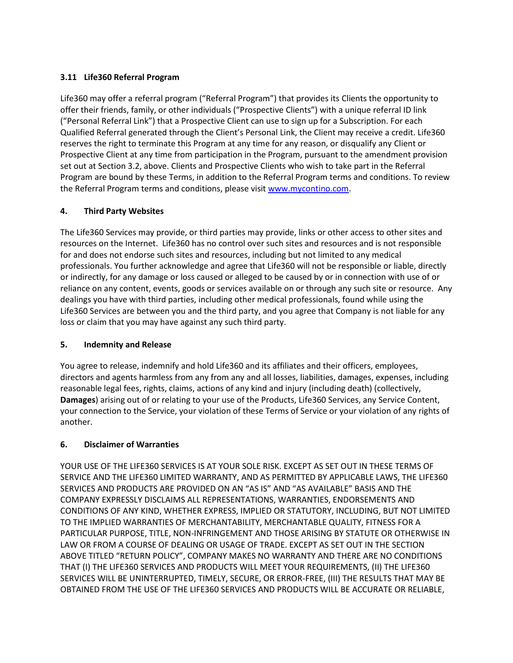# **3.11 Life360 Referral Program**

Life360 may offer a referral program ("Referral Program") that provides its Clients the opportunity to offer their friends, family, or other individuals ("Prospective Clients") with a unique referral ID link ("Personal Referral Link") that a Prospective Client can use to sign up for a Subscription. For each Qualified Referral generated through the Client's Personal Link, the Client may receive a credit. Life360 reserves the right to terminate this Program at any time for any reason, or disqualify any Client or Prospective Client at any time from participation in the Program, pursuant to the amendment provision set out at Section 3.2, above. Clients and Prospective Clients who wish to take part in the Referral Program are bound by these Terms, in addition to the Referral Program terms and conditions. To review the Referral Program terms and conditions, please visit [www.mycontino.com.](http://www.mycontino.com/)

# **4. Third Party Websites**

The Life360 Services may provide, or third parties may provide, links or other access to other sites and resources on the Internet. Life360 has no control over such sites and resources and is not responsible for and does not endorse such sites and resources, including but not limited to any medical professionals. You further acknowledge and agree that Life360 will not be responsible or liable, directly or indirectly, for any damage or loss caused or alleged to be caused by or in connection with use of or reliance on any content, events, goods or services available on or through any such site or resource. Any dealings you have with third parties, including other medical professionals, found while using the Life360 Services are between you and the third party, and you agree that Company is not liable for any loss or claim that you may have against any such third party.

# **5. Indemnity and Release**

You agree to release, indemnify and hold Life360 and its affiliates and their officers, employees, directors and agents harmless from any from any and all losses, liabilities, damages, expenses, including reasonable legal fees, rights, claims, actions of any kind and injury (including death) (collectively, **Damages**) arising out of or relating to your use of the Products, Life360 Services, any Service Content, your connection to the Service, your violation of these Terms of Service or your violation of any rights of another.

# **6. Disclaimer of Warranties**

YOUR USE OF THE LIFE360 SERVICES IS AT YOUR SOLE RISK. EXCEPT AS SET OUT IN THESE TERMS OF SERVICE AND THE LIFE360 LIMITED WARRANTY, AND AS PERMITTED BY APPLICABLE LAWS, THE LIFE360 SERVICES AND PRODUCTS ARE PROVIDED ON AN "AS IS" AND "AS AVAILABLE" BASIS AND THE COMPANY EXPRESSLY DISCLAIMS ALL REPRESENTATIONS, WARRANTIES, ENDORSEMENTS AND CONDITIONS OF ANY KIND, WHETHER EXPRESS, IMPLIED OR STATUTORY, INCLUDING, BUT NOT LIMITED TO THE IMPLIED WARRANTIES OF MERCHANTABILITY, MERCHANTABLE QUALITY, FITNESS FOR A PARTICULAR PURPOSE, TITLE, NON-INFRINGEMENT AND THOSE ARISING BY STATUTE OR OTHERWISE IN LAW OR FROM A COURSE OF DEALING OR USAGE OF TRADE. EXCEPT AS SET OUT IN THE SECTION ABOVE TITLED "RETURN POLICY", COMPANY MAKES NO WARRANTY AND THERE ARE NO CONDITIONS THAT (I) THE LIFE360 SERVICES AND PRODUCTS WILL MEET YOUR REQUIREMENTS, (II) THE LIFE360 SERVICES WILL BE UNINTERRUPTED, TIMELY, SECURE, OR ERROR-FREE, (III) THE RESULTS THAT MAY BE OBTAINED FROM THE USE OF THE LIFE360 SERVICES AND PRODUCTS WILL BE ACCURATE OR RELIABLE,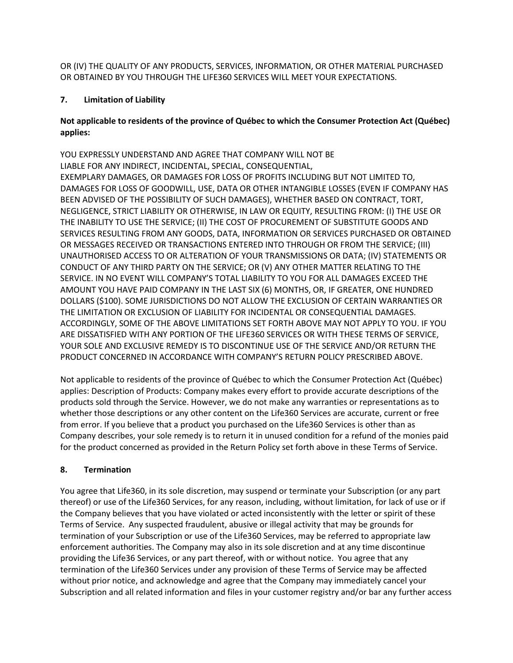OR (IV) THE QUALITY OF ANY PRODUCTS, SERVICES, INFORMATION, OR OTHER MATERIAL PURCHASED OR OBTAINED BY YOU THROUGH THE LIFE360 SERVICES WILL MEET YOUR EXPECTATIONS.

# **7. Limitation of Liability**

# **Not applicable to residents of the province of Québec to which the Consumer Protection Act (Québec) applies:**

YOU EXPRESSLY UNDERSTAND AND AGREE THAT COMPANY WILL NOT BE LIABLE FOR ANY INDIRECT, INCIDENTAL, SPECIAL, CONSEQUENTIAL, EXEMPLARY DAMAGES, OR DAMAGES FOR LOSS OF PROFITS INCLUDING BUT NOT LIMITED TO, DAMAGES FOR LOSS OF GOODWILL, USE, DATA OR OTHER INTANGIBLE LOSSES (EVEN IF COMPANY HAS BEEN ADVISED OF THE POSSIBILITY OF SUCH DAMAGES), WHETHER BASED ON CONTRACT, TORT, NEGLIGENCE, STRICT LIABILITY OR OTHERWISE, IN LAW OR EQUITY, RESULTING FROM: (I) THE USE OR THE INABILITY TO USE THE SERVICE; (II) THE COST OF PROCUREMENT OF SUBSTITUTE GOODS AND SERVICES RESULTING FROM ANY GOODS, DATA, INFORMATION OR SERVICES PURCHASED OR OBTAINED OR MESSAGES RECEIVED OR TRANSACTIONS ENTERED INTO THROUGH OR FROM THE SERVICE; (III) UNAUTHORISED ACCESS TO OR ALTERATION OF YOUR TRANSMISSIONS OR DATA; (IV) STATEMENTS OR CONDUCT OF ANY THIRD PARTY ON THE SERVICE; OR (V) ANY OTHER MATTER RELATING TO THE SERVICE. IN NO EVENT WILL COMPANY'S TOTAL LIABILITY TO YOU FOR ALL DAMAGES EXCEED THE AMOUNT YOU HAVE PAID COMPANY IN THE LAST SIX (6) MONTHS, OR, IF GREATER, ONE HUNDRED DOLLARS (\$100). SOME JURISDICTIONS DO NOT ALLOW THE EXCLUSION OF CERTAIN WARRANTIES OR THE LIMITATION OR EXCLUSION OF LIABILITY FOR INCIDENTAL OR CONSEQUENTIAL DAMAGES. ACCORDINGLY, SOME OF THE ABOVE LIMITATIONS SET FORTH ABOVE MAY NOT APPLY TO YOU. IF YOU ARE DISSATISFIED WITH ANY PORTION OF THE LIFE360 SERVICES OR WITH THESE TERMS OF SERVICE, YOUR SOLE AND EXCLUSIVE REMEDY IS TO DISCONTINUE USE OF THE SERVICE AND/OR RETURN THE PRODUCT CONCERNED IN ACCORDANCE WITH COMPANY'S RETURN POLICY PRESCRIBED ABOVE.

Not applicable to residents of the province of Québec to which the Consumer Protection Act (Québec) applies: Description of Products: Company makes every effort to provide accurate descriptions of the products sold through the Service. However, we do not make any warranties or representations as to whether those descriptions or any other content on the Life360 Services are accurate, current or free from error. If you believe that a product you purchased on the Life360 Services is other than as Company describes, your sole remedy is to return it in unused condition for a refund of the monies paid for the product concerned as provided in the Return Policy set forth above in these Terms of Service.

# **8. Termination**

You agree that Life360, in its sole discretion, may suspend or terminate your Subscription (or any part thereof) or use of the Life360 Services, for any reason, including, without limitation, for lack of use or if the Company believes that you have violated or acted inconsistently with the letter or spirit of these Terms of Service. Any suspected fraudulent, abusive or illegal activity that may be grounds for termination of your Subscription or use of the Life360 Services, may be referred to appropriate law enforcement authorities. The Company may also in its sole discretion and at any time discontinue providing the Life36 Services, or any part thereof, with or without notice. You agree that any termination of the Life360 Services under any provision of these Terms of Service may be affected without prior notice, and acknowledge and agree that the Company may immediately cancel your Subscription and all related information and files in your customer registry and/or bar any further access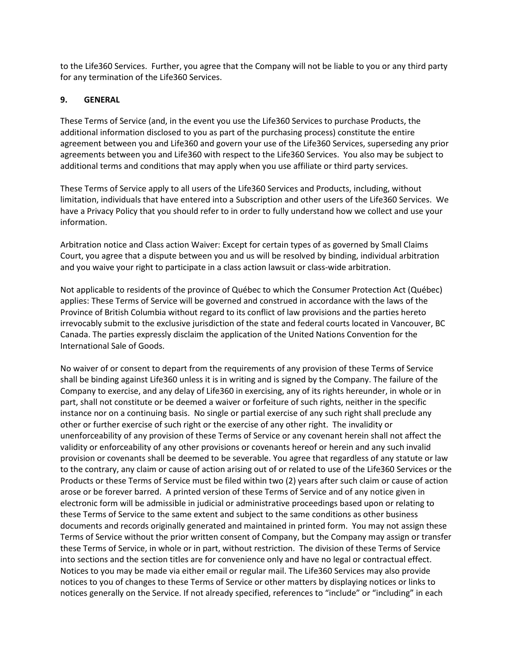to the Life360 Services. Further, you agree that the Company will not be liable to you or any third party for any termination of the Life360 Services.

#### **9. GENERAL**

These Terms of Service (and, in the event you use the Life360 Services to purchase Products, the additional information disclosed to you as part of the purchasing process) constitute the entire agreement between you and Life360 and govern your use of the Life360 Services, superseding any prior agreements between you and Life360 with respect to the Life360 Services. You also may be subject to additional terms and conditions that may apply when you use affiliate or third party services.

These Terms of Service apply to all users of the Life360 Services and Products, including, without limitation, individuals that have entered into a Subscription and other users of the Life360 Services. We have a Privacy Policy that you should refer to in order to fully understand how we collect and use your information.

Arbitration notice and Class action Waiver: Except for certain types of as governed by Small Claims Court, you agree that a dispute between you and us will be resolved by binding, individual arbitration and you waive your right to participate in a class action lawsuit or class-wide arbitration.

Not applicable to residents of the province of Québec to which the Consumer Protection Act (Québec) applies: These Terms of Service will be governed and construed in accordance with the laws of the Province of British Columbia without regard to its conflict of law provisions and the parties hereto irrevocably submit to the exclusive jurisdiction of the state and federal courts located in Vancouver, BC Canada. The parties expressly disclaim the application of the United Nations Convention for the International Sale of Goods.

No waiver of or consent to depart from the requirements of any provision of these Terms of Service shall be binding against Life360 unless it is in writing and is signed by the Company. The failure of the Company to exercise, and any delay of Life360 in exercising, any of its rights hereunder, in whole or in part, shall not constitute or be deemed a waiver or forfeiture of such rights, neither in the specific instance nor on a continuing basis. No single or partial exercise of any such right shall preclude any other or further exercise of such right or the exercise of any other right. The invalidity or unenforceability of any provision of these Terms of Service or any covenant herein shall not affect the validity or enforceability of any other provisions or covenants hereof or herein and any such invalid provision or covenants shall be deemed to be severable. You agree that regardless of any statute or law to the contrary, any claim or cause of action arising out of or related to use of the Life360 Services or the Products or these Terms of Service must be filed within two (2) years after such claim or cause of action arose or be forever barred. A printed version of these Terms of Service and of any notice given in electronic form will be admissible in judicial or administrative proceedings based upon or relating to these Terms of Service to the same extent and subject to the same conditions as other business documents and records originally generated and maintained in printed form. You may not assign these Terms of Service without the prior written consent of Company, but the Company may assign or transfer these Terms of Service, in whole or in part, without restriction. The division of these Terms of Service into sections and the section titles are for convenience only and have no legal or contractual effect. Notices to you may be made via either email or regular mail. The Life360 Services may also provide notices to you of changes to these Terms of Service or other matters by displaying notices or links to notices generally on the Service. If not already specified, references to "include" or "including" in each